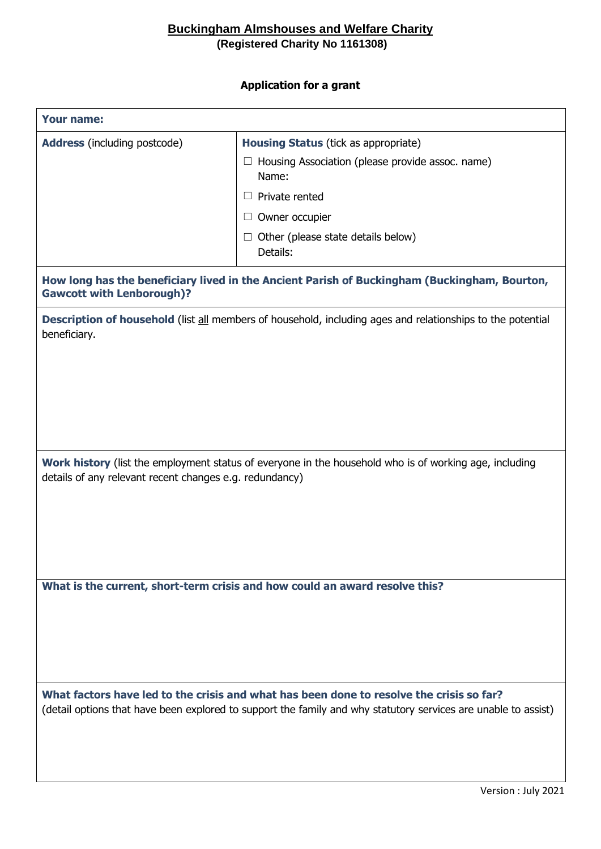## **Buckingham Almshouses and Welfare Charity (Registered Charity No 1161308)**

## **Application for a grant**

| <b>Your name:</b>                                                                                                                                                                                          |                                                                                                                                                                                                                            |  |
|------------------------------------------------------------------------------------------------------------------------------------------------------------------------------------------------------------|----------------------------------------------------------------------------------------------------------------------------------------------------------------------------------------------------------------------------|--|
| <b>Address</b> (including postcode)                                                                                                                                                                        | <b>Housing Status (tick as appropriate)</b><br>$\Box$ Housing Association (please provide assoc. name)<br>Name:<br>$\Box$ Private rented<br>$\Box$ Owner occupier<br>$\Box$ Other (please state details below)<br>Details: |  |
| How long has the beneficiary lived in the Ancient Parish of Buckingham (Buckingham, Bourton,<br><b>Gawcott with Lenborough)?</b>                                                                           |                                                                                                                                                                                                                            |  |
| <b>Description of household</b> (list all members of household, including ages and relationships to the potential<br>beneficiary.                                                                          |                                                                                                                                                                                                                            |  |
| Work history (list the employment status of everyone in the household who is of working age, including<br>details of any relevant recent changes e.g. redundancy)                                          |                                                                                                                                                                                                                            |  |
| What is the current, short-term crisis and how could an award resolve this?                                                                                                                                |                                                                                                                                                                                                                            |  |
| What factors have led to the crisis and what has been done to resolve the crisis so far?<br>(detail options that have been explored to support the family and why statutory services are unable to assist) |                                                                                                                                                                                                                            |  |